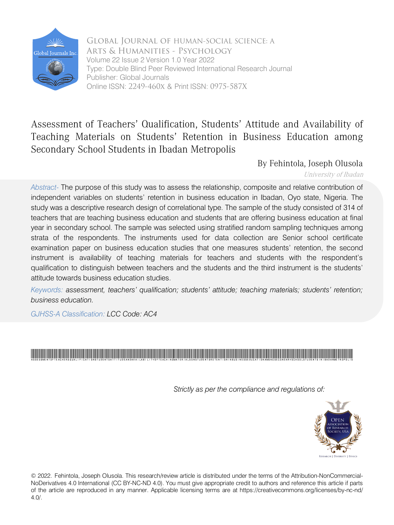

 Arts & Humanities - Psychology Volume 22 Issue 2 Version 1.0 Year 2022 Online ISSN: 2249-460x & Print ISSN: 0975-587X Global Journal of HUMAN-SOCIAL SCIENCE: A Type: Double Blind Peer Reviewed International Research Journal Publisher: Global Journals

# Assessment of Teachers' Qualification, Students' Attitude and Availability of Teaching Materials on Students' Retention in Business Education among Secondary School Students in Ibadan Metropolis

By Fehintola, Joseph Olusola

University of Ibadan

*Abstract-* The purpose of this study was to assess the relationship, composite and relative contribution of independent variables on students' retention in business education in Ibadan, Oyo state, Nigeria. The study was a descriptive research design of correlational type. The sample of the study consisted of 314 of teachers that are teaching business education and students that are offering business education at final year in secondary school. The sample was selected using stratified random sampling techniques among strata of the respondents. The instruments used for data collection are Senior school certificate examination paper on business education studies that one measures students' retention, the second instrument is availability of teaching materials for teachers and students with the respondent's qualification to distinguish between teachers and the students and the third instrument is the students' attitude towards business education studies.

*Keywords: assessment, teachers' qualification; students' attitude; teaching materials; students' retention; business education.* 

*GJHSS-A Classification: LCC Code: AC4*

# .<br>AssessmentofTeachersQualificationStudentsAttitudeandAvailabilityofTeachingMaterialsonStudentsRetention NeusinesseducationamongSecondarySchoolStudentsinIbadanMetropolis

*Strictly as per the compliance and regulations of:*



© 2022. Fehintola, Joseph Olusola. This research/review article is distributed under the terms of the Attribution-NonCommercial-NoDerivatives 4.0 International (CC BY-NC-ND 4.0). You must give appropriate credit to authors and reference this article if parts of the article are reproduced in any manner. Applicable licensing terms are at https://creativecommons.org/licenses/by-nc-nd/ 4.0/.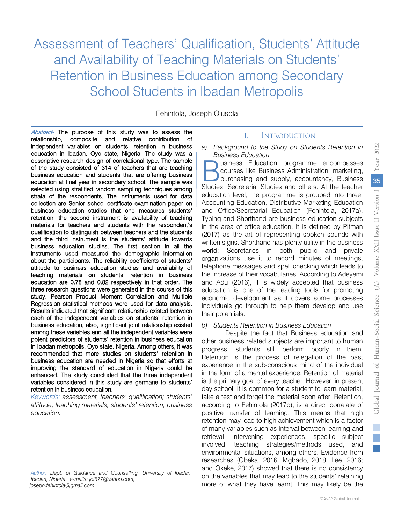Assessment of Teachers' Qualification, Students' Attitude and Availability of Teaching Materials on Students' Retention in Business Education among Secondary School Students in Ibadan Metropolis

Fehintola, Joseph Olusola

Abstract- The purpose of this study was to assess the education in Ibadan, Oyo state, Nigeria. The study was a relationship, composite and relative contribution of independent variables on students' retention in business descriptive research design of correlational type. The sample of the study consisted of 314 of teachers that are teaching business education and students that are offering business education at final year in secondary school. The sample was selected using stratified random sampling techniques among strata of the respondents. The instruments used for data collection are Senior school certificate examination paper on business education studies that one measures students' retention, the second instrument is availability of teaching materials for teachers and students with the respondent's qualification to distinguish between teachers and the students and the third instrument is the students' attitude towards business education studies. The first section in all the instruments used measured the demographic information about the participants. The reliability coefficients of students' attitude to business education studies and availability of teaching materials on students' retention in business education are 0.78 and 0.82 respectively in that order. The three research questions were generated in the course of this study. Pearson Product Moment Correlation and Multiple Regression statistical methods were used for data analysis. Results indicated that significant relationship existed between each of the independent variables on students' retention in business education, also, significant joint relationship existed among these variables and all the independent variables were potent predictors of students' retention in business education in Ibadan metropolis, Oyo state, Nigeria. Among others, it was recommended that more studies on students' retention in business education are needed in Nigeria so that efforts at improving the standard of education in Nigeria could be enhanced. The study concluded that the three independent variables considered in this study are germane to students' retention in business education.

 *attitude; teaching materials; students' retention; business Keywords: assessment, teachers' qualification; students' education.*

#### I. Introduction

*a) Background to the Study on Students Retention in Business Education*

usiness Education programme encompasses courses like Business Administration, marketing, purchasing and supply, accountancy, Business **Studies** Education programme encompasses<br>
Studies, Secretarial Studies and others. At the teacher<br>
Studies, Secretarial Studies and others. At the teacher education level, the programme is grouped into three: Accounting Education, Distributive Marketing Education and Office/Secretarial Education (Fehintola, 2017a). Typing and Shorthand are business education subjects in the area of office education. It is defined by Pitman (2017) as the art of representing spoken sounds with written signs. Shorthand has plenty utility in the business world; Secretaries in both public and private organizations use it to record minutes of meetings, telephone messages and spell checking which leads to the increase of their vocabularies. According to Adeyemi and Adu (2016), it is widely accepted that business education is one of the leading tools for promoting economic development as it covers some processes individuals go through to help them develop and use their potentials.

#### *b) Students Retention in Business Education*

Despite the fact that Business education and other business related subjects are important to human progress; students still perform poorly in them. Retention is the process of relegation of the past experience in the sub-conscious mind of the individual in the form of a mental experience. Retention of material is the primary goal of every teacher. However, in present day school, it is common for a student to learn material, take a test and forget the material soon after. Retention, according to Fehintola (2017b), is a direct correlate of positive transfer of learning. This means that high retention may lead to high achievement which is a factor of many variables such as interval between learning and retrieval, intervening experiences, specific subject involved, teaching strategies/methods used, and environmental situations, among others. Evidence from researches (Obeka, 2016; Mgbado, 2018; Lee, 2016; and Okeke, 2017) showed that there is no consistency on the variables that may lead to the students' retaining more of what they have learnt. This may likely be the

*Author: Dept. of Guidance and Counselling, University of Ibadan, Ibadan, Nigeria. e-mails: jof677@yahoo.com, joseph.fehintola@gmail.com*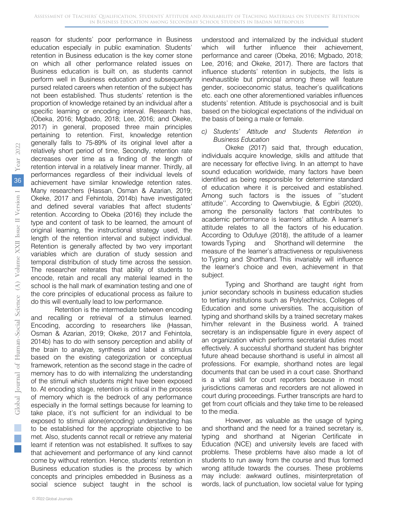reason for students' poor performance in Business education especially in public examination. Students' retention in Business education is the key corner stone on which all other performance related issues on Business education is built on, as students cannot perform well in Business education and subsequently pursed related careers when retention of the subject has not been established. Thus students' retention is the proportion of knowledge retained by an individual after a specific learning or encoding interval. Research has, (Obeka, 2016; Mgbado, 2018; Lee, 2016; and Okeke, 2017) in general, proposed three main principles pertaining to retention. First, knowledge retention generally falls to 75-89% of its original level after a relatively short period of time, Secondly, retention rate decreases over time as a finding of the length of retention interval in a relatively linear manner. Thirdly, all performances regardless of their individual levels of achievement have similar knowledge retention rates. Many researchers (Hassan, Osman & Azarian, 2019; Okeke, 2017 and Fehintola, 2014b) have investigated and defined several variables that affect students' retention. According to Obeka (2016) they include the type and content of task to be learned, the amount of original learning, the instructional strategy used, the length of the retention interval and subject individual. Retention is generally affected by two very important variables which are duration of study session and temporal distribution of study time across the session. The researcher reiterates that ability of students to encode, retain and recall any material learned in the school is the hall mark of examination testing and one of the core principles of educational process as failure to do this will eventually lead to low performance.

Retention is the intermediate between encoding and recalling or retrieval of a stimulus learned. Encoding, according to researchers like (Hassan, Osman & Azarian, 2019; Okeke, 2017 and Fehintola, 2014b) has to do with sensory perception and ability of the brain to analyze, synthesis and label a stimulus based on the existing categorization or conceptual framework, retention as the second stage in the cadre of memory has to do with internalizing the understanding of the stimuli which students might have been exposed to. At encoding stage, retention is critical in the process of memory which is the bedrock of any performance especially in the formal settings because for learning to take place, it's not sufficient for an individual to be exposed to stimuli alone(encoding) understanding has to be established for the appropriate objective to be met. Also, students cannot recall or retrieve any material learnt if retention was not established. It suffixes to say that achievement and performance of any kind cannot come by without retention. Hence, students' retention in Business education studies is the process by which concepts and principles embedded in Business as a social science subject taught in the school is

understood and internalized by the individual student which will further influence their achievement, performance and career (Obeka, 2016; Mgbado, 2018; Lee, 2016; and Okeke, 2017). There are factors that influence students' retention in subjects, the lists is inexhaustible but principal among these will feature gender, socioeconomic status, teacher's qualifications etc. each one other aforementioned variables influences students' retention. Attitude is psychosocial and is built based on the biological expectations of the individual on the basis of being a male or female.

#### *c) Students' Attitude and Students Retention in Business Education*

Okeke (2017) said that, through education, individuals acquire knowledge, skills and attitude that are necessary for effective living. In an attempt to have sound education worldwide, many factors have been identified as being responsible for determine standard of education where it is perceived and established. Among such factors is the issues of ''student attitude''. According to Qwenvbiugie, & Egbiri (2020), among the personality factors that contributes to academic performance is learners' attitude. A learner's attitude relates to all the factors of his education. According to Odufuye (2018), the attitude of a learner towards Typing and Shorthand will determine the measure of the learner's attractiveness or repulsiveness to Typing and Shorthand. This invariably will influence the learner's choice and even, achievement in that subject.

Typing and Shorthand are taught right from junior secondary schools in business education studies to tertiary institutions such as Polytechnics, Colleges of Education and some universities. The acquisition of typing and shorthand skills by a trained secretary makes him/her relevant in the Business world. A trained secretary is an indispensable figure in every aspect of an organization which performs secretarial duties most effectively. A successful shorthand student has brighter future ahead because shorthand is useful in almost all professions. For example, shorthand notes are legal documents that can be used in a court case. Shorthand is a vital skill for court reporters because in most jurisdictions cameras and recorders are not allowed in court during proceedings. Further transcripts are hard to get from court officials and they take time to be released to the media.

However, as valuable as the usage of typing and shorthand and the need for a trained secretary is, typing and shorthand at Nigerian Certificate in Education (NCE) and university levels are faced with problems. These problems have also made a lot of students to run away from the course and thus formed wrong attitude towards the courses. These problems may include: awkward outlines, misinterpretation of words, lack of punctuation, low societal value for typing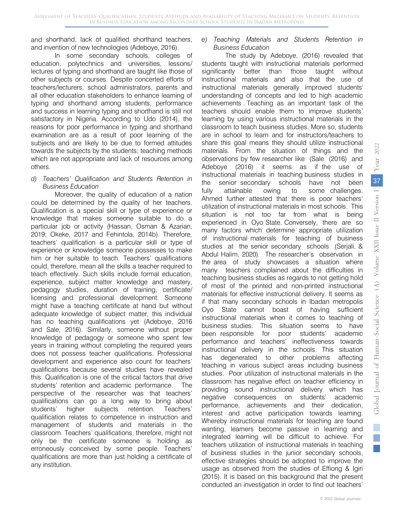and shorthand, lack of qualified shorthand teachers, and invention of new technologies (Adeboye, 2016).

In some secondary schools, colleges of education, polytechnics and universities, lessons/ lectures of typing and shorthand are taught like those of other subjects or courses. Despite concerted efforts of teachers/lecturers, school administrators, parents and all other education stakeholders to enhance learning of typing and shorthand among students, performance and success in learning typing and shorthand is still not satisfactory in Nigeria. According to Udo (2014), the reasons for poor performance in typing and shorthand examination are as a result of poor learning of the subjects and are likely to be due to formed attitudes towards the subjects by the students; teaching methods which are not appropriate and lack of resources among others.

#### *d) Teachers' Qualification and Students Retention in Business Education*

Moreover, the quality of education of a nation could be determined by the quality of her teachers. Qualification is a special skill or type of experience or knowledge that makes someone suitable to do a particular job or activity (Hassan, Osman & Azarian, 2019; Okeke, 2017 and Fehintola, 2014b). Therefore, teachers' qualification is a particular skill or type of experience or knowledge someone possesses to make him or her suitable to teach. Teachers' qualifications could, therefore, mean all the skills a teacher required to teach effectively. Such skills include formal education, experience, subject matter knowledge and mastery, pedagogy studies, duration of training, certificate/ licensing and professional development. Someone might have a teaching certificate at hand but without adequate knowledge of subject matter, this individual has no teaching qualifications yet (Adeboye, 2016 and Sale, 2016). Similarly, someone without proper knowledge of pedagogy or someone who spent few years in training without completing the required years does not possess teacher qualifications. Professional development and experience also count for teachers' qualifications because several studies have revealed this. Qualification is one of the critical factors that drive students' retention and academic performance. The perspective of the researcher was that teachers' qualifications can go a long way to bring about students' higher subjects retention. Teachers' qualification relates to competence in instruction and management of students and materials in the classroom. Teachers' qualifications, therefore, might not only be the certificate someone is holding as erroneously conceived by some people. Teachers' qualifications are more than just holding a certificate of any institution.

## *e) Teaching Materials and Students Retention in Business Education*

The study by Adeboye, (2016) revealed that students taught with instructional materials performed significantly better than those taught without instructional materials and also that the use of instructional materials generally improved students' understanding of concepts and led to high academic achievements . Teaching as an important task of the teachers should enable them to improve students' learning by using various instructional materials in the classroom to teach business studies. More so, students are in school to learn and for instructors/teachers to share this goal means they should utilize instructional materials. From the situation of things and the observations by few researcher like (Sale (2016) and Adeboye (2016) it seems as if the use of instructional materials in teaching business studies in the senior secondary schools have not been fully attainable owing to some challenges. Ahmed further attested that there is poor teachers' utilization of instructional materials in most schools. This situation is not too far from what is being experienced in Oyo State. Conversely, there are so many factors which determine appropriate utilization of instructional materials for teaching of business studies at the senior secondary schools (Serjali, & Abdul Halim, 2020). The researcher's observation in the area of study showcases a situation where many teachers complained about the difficulties in teaching business studies as regards to not getting hold of most of the printed and non-printed instructional materials for effective instructional delivery. It seems as if that many secondary schools in Ibadan metropolis Oyo State cannot boast of having sufficient instructional materials when it comes to teaching of business studies. This situation seems to have been responsible for poor students' academic performance and teachers' ineffectiveness towards instructional delivery in the schools. This situation has degenerated to other problems affecting teaching in various subject areas including business studies. Poor utilization of instructional materials in the classroom has negative effect on teacher efficiency in providing sound instructional delivery which has negative consequences on students' academic performance, achievements and their dedication, interest and active participation towards learning. Whereby instructional materials for teaching are found wanting, learners become passive in learning and integrated learning will be difficult to achieve. For teachers utilization of instructional materials in teaching of business studies in the junior secondary schools, effective strategies should be adopted to improve the usage as observed from the studies of Effiong & Igiri (2015). It is based on this background that the present conducted an investigation in order to find out teachers'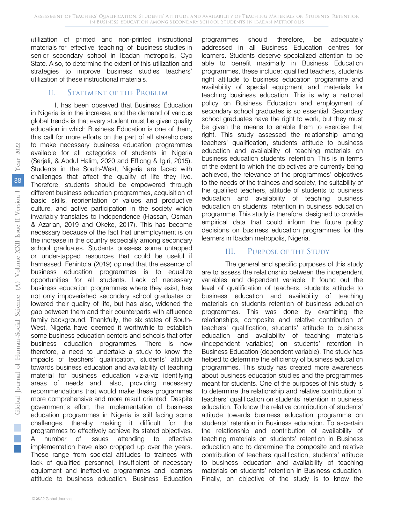Assessment of Teachers' Qualification, Students' Attitude and Availability of Teaching Materials on Students' Retention in Business Education among Secondary School Students in Ibadan Metropolis

utilization of printed and non-printed instructional materials for effective teaching of business studies in senior secondary school in Ibadan metropolis, Oyo State. Also, to determine the extent of this utilization and strategies to improve business studies teachers' utilization of these instructional materials.

#### II. Statement of the Problem

It has been observed that Business Education in Nigeria is in the increase, and the demand of various global trends is that every student must be given quality education in which Business Education is one of them, this call for more efforts on the part of all stakeholders to make necessary business education programmes available for all categories of students in Nigeria (Serjali, & Abdul Halim, 2020 and Effiong & Igiri, 2015). Students in the South-West, Nigeria are faced with challenges that affect the quality of life they live. Therefore, students should be empowered through different business education programmes, acquisition of basic skills, reorientation of values and productive culture, and active participation in the society which invariably translates to independence (Hassan, Osman & Azarian, 2019 and Okeke, 2017). This has become necessary because of the fact that unemployment is on the increase in the country especially among secondary school graduates. Students possess some untapped or under-tapped resources that could be useful if harnessed. Fehintola (2019) opined that the essence of business education programmes is to equalize opportunities for all students. Lack of necessary business education programmes where they exist, has not only impoverished secondary school graduates or lowered their quality of life, but has also, widened the gap between them and their counterparts with affluence family background. Thankfully, the six states of South-West, Nigeria have deemed it worthwhile to establish some business education centers and schools that offer business education programmes. There is now therefore, a need to undertake a study to know the impacts of teachers' qualification, students' attitude towards business education and availability of teaching material for business education viz-a-viz identifying areas of needs and, also, providing necessary recommendations that would make these programmes more comprehensive and more result oriented. Despite government's effort, the implementation of business education programmes in Nigeria is still facing some challenges, thereby making it difficult for the programmes to effectively achieve its stated objectives. A number of issues attending to effective implementation have also cropped up over the years. These range from societal attitudes to trainees with lack of qualified personnel, insufficient of necessary equipment and ineffective programmes and learners attitude to business education. Business Education

addressed in all Business Education centres for learners. Students deserve specialized attention to be able to benefit maximally in Business Education programmes, these include: qualified teachers, students right attitude to business education programme and availability of special equipment and materials for teaching business education. This is why a national policy on Business Education and employment of secondary school graduates is so essential. Secondary school graduates have the right to work, but they must be given the means to enable them to exercise that right. This study assessed the relationship among teachers' qualification, students attitude to business education and availability of teaching materials on business education students' retention. This is in terms of the extent to which the objectives are currently being achieved, the relevance of the programmes' objectives to the needs of the trainees and society, the suitability of the qualified teachers, attitude of students to business education and availability of teaching business education on students' retention in business education programme. This study is therefore, designed to provide empirical data that could inform the future policy decisions on business education programmes for the learners in Ibadan metropolis, Nigeria.

programmes should therefore, be adequately

### III. Purpose of the Study

The general and specific purposes of this study are to assess the relationship between the independent variables and dependent variable. It found out the level of qualification of teachers, students attitude to business education and availability of teaching materials on students retention of business education programmes. This was done by examining the relationships, composite and relative contribution of teachers' qualification, students' attitude to business education and availability of teaching materials (independent variables) on students' retention in Business Education (dependent variable). The study has helped to determine the efficiency of business education programmes. This study has created more awareness about business education studies and the programmes meant for students. One of the purposes of this study is to determine the relationship and relative contribution of teachers' qualification on students' retention in business education. To know the relative contribution of students' attitude towards business education programme on students' retention in Business education. To ascertain the relationship and contribution of availability of teaching materials on students' retention in Business education and to determine the composite and relative contribution of teachers qualification, students' attitude to business education and availability of teaching materials on students' retention in Business education. Finally, on objective of the study is to know the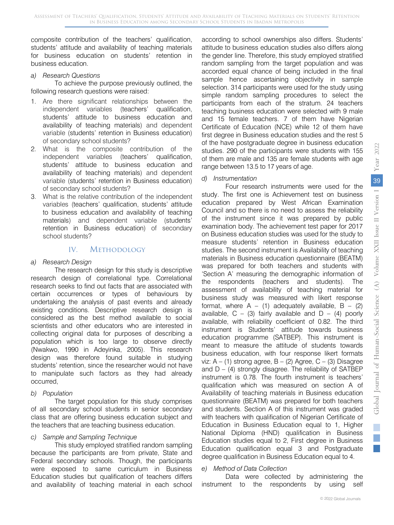composite contribution of the teachers' qualification, students' attitude and availability of teaching materials for business education on students' retention in business education.

#### *a) Research Questions*

To achieve the purpose previously outlined, the following research questions were raised:

- 1. Are there significant relationships between the independent variables (teachers' qualification, students' attitude to business education and availability of teaching materials) and dependent variable (students' retention in Business education) of secondary school students?
- 2. What is the composite contribution of the independent variables (teachers' qualification, students' attitude to business education and availability of teaching materials) and dependent variable (students' retention in Business education) of secondary school students?
- 3. What is the relative contribution of the independent variables (teachers' qualification, students' attitude to business education and availability of teaching materials) and dependent variable (students' retention in Business education) of secondary school students?

## IV. METHODOLOGY

#### *a) Research Design*

The research design for this study is descriptive research design of correlational type. Correlational research seeks to find out facts that are associated with certain occurrences or types of behaviours by undertaking the analysis of past events and already existing conditions. Descriptive research design is considered as the best method available to social scientists and other educators who are interested in collecting original data for purposes of describing a population which is too large to observe directly (Nwakwo, 1990 in Adeyinka, 2005). This research design was therefore found suitable in studying students' retention, since the researcher would not have to manipulate such factors as they had already occurred,

*b) Population* 

The target population for this study comprises of all secondary school students in senior secondary class that are offering business education subject and the teachers that are teaching business education.

#### *c) Sample and Sampling Technique*

This study employed stratified random sampling because the participants are from private, State and Federal secondary schools. Though, the participants were exposed to same curriculum in Business Education studies but qualification of teachers differs and availability of teaching material in each school

according to school ownerships also differs. Students' attitude to business education studies also differs along the gender line. Therefore, this study employed stratified random sampling from the target population and was accorded equal chance of being included in the final sample hence ascertaining objectivity in sample selection. 314 participants were used for the study using simple random sampling procedures to select the participants from each of the stratum. 24 teachers teaching business education were selected with 9 male and 15 female teachers. 7 of them have Nigerian Certificate of Education (NCE) while 12 of them have first degree in Business education studies and the rest 5 of the have postgraduate degree in business education studies. 290 of the participants were students with 155 of them are male and 135 are female students with age range between 13.5 to 17 years of age.

#### *d) Instrumentation*

Four research instruments were used for the study. The first one is Achievement test on business education prepared by West African Examination Council and so there is no need to assess the reliability of the instrument since it was prepared by public examination body. The achievement test paper for 2017 on Business education studies was used for the study to measure students' retention in Business education studies. The second instrument is Availability of teaching materials in Business education questionnaire (BEATM) was prepared for both teachers and students with 'Section A' measuring the demographic information of the respondents (teachers and students). The assessment of availability of teaching material for business study was measured with likert response format, where  $A - (1)$  adequately available,  $B - (2)$ available,  $C - (3)$  fairly available and  $D - (4)$  poorly available, with reliability coefficient of 0.82. The third instrument is Students' attitude towards business education programme (SATBEP). This instrument is meant to measure the attitude of students towards business education, with four response likert formats viz:  $A - (1)$  strong agree,  $B - (2)$  Agree,  $C - (3)$  Disagree and  $D - (4)$  strongly disagree. The reliability of SATBEP instrument is 0.78. The fourth instrument is teachers' qualification which was measured on section A of Availability of teaching materials in Business education questionnaire (BEATM) was prepared for both teachers and students. Section A of this instrument was graded with teachers with qualification of Nigerian Certificate of Education in Business Education equal to 1, Higher National Diploma (HND) qualification in Business Education studies equal to 2, First degree in Business Education qualification equal 3 and Postgraduate degree qualification in Business Education equal to 4.

#### *e) Method of Data Collection*

Data were collected by administering the instrument to the respondents by using self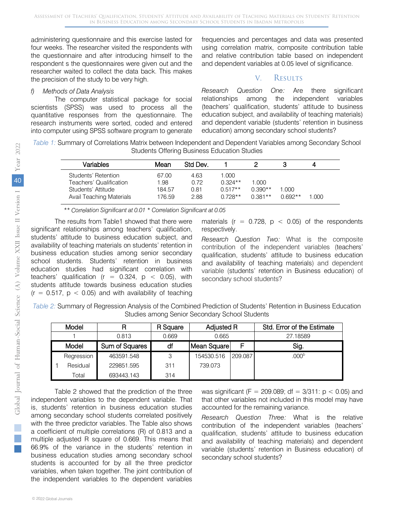administering questionnaire and this exercise lasted for four weeks. The researcher visited the respondents with the questionnaire and after introducing himself to the respondent s the questionnaires were given out and the researcher waited to collect the data back. This makes the precision of the study to be very high.

#### *f) Methods of Data Analysis*

The computer statistical package for social scientists (SPSS) was used to process all the quantitative responses from the questionnaire. The research instruments were sorted, coded and entered into computer using SPSS software program to generate frequencies and percentages and data was presented using correlation matrix, composite contribution table and relative contribution table based on independent and dependent variables at 0.05 level of significance.

## V. Results

*Research Question One:* Are there significant relationships among the independent variables (teachers' qualification, students' attitude to business education subject, and availability of teaching materials) and dependent variable (students' retention in business education) among secondary school students?

*Table 1:* Summary of Correlations Matrix between Independent and Dependent Variables among Secondary School Students Offering Business Education Studies

| Variables                | Mean   | Std Dev. |           |           |           | 4     |
|--------------------------|--------|----------|-----------|-----------|-----------|-------|
| Students' Retention      | 67.00  | 4.63     | 1.000     |           |           |       |
| Teachers' Qualification  | 1.98   | 0.72     | $0.324**$ | 1.000     |           |       |
| Students' Attitude       | 184.57 | 0.81     | $0.517**$ | $0.390**$ | 1.000     |       |
| Avail Teaching Materials | 176.59 | 2.88     | $0.728**$ | $0.381**$ | $0.692**$ | 1.000 |

 *\*\* Correlation Significant at 0.01 \* Correlation Significant at 0.05*

The results from Table1 showed that there were significant relationships among teachers' qualification, students' attitude to business education subject, and availability of teaching materials on students' retention in business education studies among senior secondary school students. Students' retention in business education studies had significant correlation with teachers' qualification ( $r = 0.324$ ,  $p < 0.05$ ), with students attitude towards business education studies  $(r = 0.517, p < 0.05)$  and with availability of teaching

materials ( $r = 0.728$ ,  $p < 0.05$ ) of the respondents respectively.

*Research Question Two:* What is the composite contribution of the independent variables (teachers' qualification, students' attitude to business education and availability of teaching materials) and dependent variable (students' retention in Business education) of secondary school students?

| Table 2: Summary of Regression Analysis of the Combined Prediction of Students' Retention in Business Education |  |
|-----------------------------------------------------------------------------------------------------------------|--|
| Studies among Senior Secondary School Students                                                                  |  |

| Model      |                | R Square | Adjusted R  |         | Std. Error of the Estimate |  |
|------------|----------------|----------|-------------|---------|----------------------------|--|
|            | 0.813          | 0.669    | 0.665       |         | 27.18589                   |  |
| Model      | Sum of Squares | df       | Mean Square |         | Sig.                       |  |
| Regression | 463591.548     | 3        | 154530.516  | 209.087 | .000 <sup>b</sup>          |  |
| Residual   | 229851.595     | 311      | 739.073     |         |                            |  |
| Total      | 693443.143     | 314      |             |         |                            |  |

Table 2 showed that the prediction of the three independent variables to the dependent variable. That is, students' retention in business education studies among secondary school students correlated positively with the three predictor variables. The Table also shows a coefficient of multiple correlations (R) of 0.813 and a multiple adjusted R square of 0.669. This means that 66.9% of the variance in the students' retention in business education studies among secondary school students is accounted for by all the three predictor variables, when taken together. The joint contribution of the independent variables to the dependent variables

was significant (F = 209.089; df =  $3/311$ : p < 0.05) and that other variables not included in this model may have accounted for the remaining variance.

*Research Question Three:* What is the relative contribution of the independent variables (teachers' qualification, students' attitude to business education and availability of teaching materials) and dependent variable (students' retention in Business education) of secondary school students?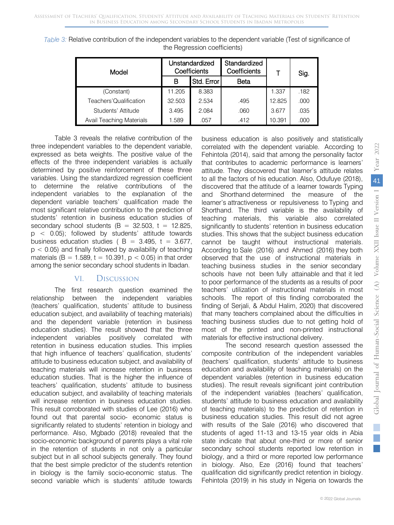| Model                    |        | <b>Unstandardized</b><br>Coefficients | Standardized<br>Coefficients |        | Sig. |  |
|--------------------------|--------|---------------------------------------|------------------------------|--------|------|--|
|                          | в      | Std. Error                            | Beta                         |        |      |  |
| (Constant)               | 11.205 | 8.383                                 |                              | 1.337  | .182 |  |
| Teachers'Qualification   | 32.503 | 2.534                                 | .495                         | 12.825 | .000 |  |
| Students' Attitude       | 3.495  | 2.084                                 | .060                         | 3.677  | .035 |  |
| Avail Teaching Materials | 1.589  | .057                                  | .412                         | 10.391 | .000 |  |

*Table 3:* Relative contribution of the independent variables to the dependent variable (Test of significance of the Regression coefficients)

Table 3 reveals the relative contribution of the three independent variables to the dependent variable, expressed as beta weights. The positive value of the effects of the three independent variables is actually determined by positive reinforcement of these three variables. Using the standardized regression coefficient to determine the relative contributions of the independent variables to the explanation of the dependent variable teachers' qualification made the most significant relative contribution to the prediction of students' retention in business education studies of secondary school students  $(B = 32.503, t = 12.825,$ p < 0.05); followed by students' attitude towards business education studies ( $B = 3.495$ ,  $t = 3.677$ ,  $p < 0.05$ ) and finally followed by availability of teaching materials (B = 1.589, t = 10.391,  $p < 0.05$ ) in that order among the senior secondary school students in Ibadan.

# VI. Discussion

The first research question examined the relationship between the independent variables (teachers' qualification, students' attitude to business education subject, and availability of teaching materials) and the dependent variable (retention in business education studies). The result showed that the three independent variables positively correlated with retention in business education studies. This implies that high influence of teachers' qualification, students' attitude to business education subject, and availability of teaching materials will increase retention in business education studies. That is the higher the influence of teachers' qualification, students' attitude to business education subject, and availability of teaching materials will increase retention in business education studies. This result corroborated with studies of Lee (2016) who found out that parental socio- economic status is significantly related to students' retention in biology and performance. Also, Mgbado (2018) revealed that the socio-economic background of parents plays a vital role in the retention of students in not only a particular subject but in all school subjects generally. They found that the best simple predictor of the student's retention in biology is the family socio-economic status. The second variable which is students' attitude towards

business education is also positively and statistically correlated with the dependent variable. According to Fehintola (2014), said that among the personality factor that contributes to academic performance is learners' attitude. They discovered that learner's attitude relates to all the factors of his education. Also, Odufuye (2018), discovered that the attitude of a learner towards Typing and Shorthand determined the measure of the learner's attractiveness or repulsiveness to Typing and Shorthand. The third variable is the availability of teaching materials, this variable also correlated significantly to students' retention in business education studies. This shows that the subject business education cannot be taught without instructional materials. According to Sale (2016) and Ahmed (2016) they both observed that the use of instructional materials in teaching business studies in the senior secondary schools have not been fully attainable and that it led to poor performance of the students as a results of poor teachers' utilization of instructional materials in most schools. The report of this finding corroborated the finding of Serjali, & Abdul Halim, 2020) that discovered that many teachers complained about the difficulties in teaching business studies due to not getting hold of most of the printed and non-printed instructional materials for effective instructional delivery.

The second research question assessed the composite contribution of the independent variables (teachers' qualification, students' attitude to business education and availability of teaching materials) on the dependent variables (retention in business education studies). The result reveals significant joint contribution of the independent variables (teachers' qualification, students' attitude to business education and availability of teaching materials) to the prediction of retention in business education studies. This result did not agree with results of the Sale (2016) who discovered that students of aged 11-13 and 13-15 year olds in Abia state indicate that about one-third or more of senior secondary school students reported low retention in biology, and a third or more reported low performance in biology. Also, Eze (2016) found that teachers' qualification did significantly predict retention in biology. Fehintola (2019) in his study in Nigeria on towards the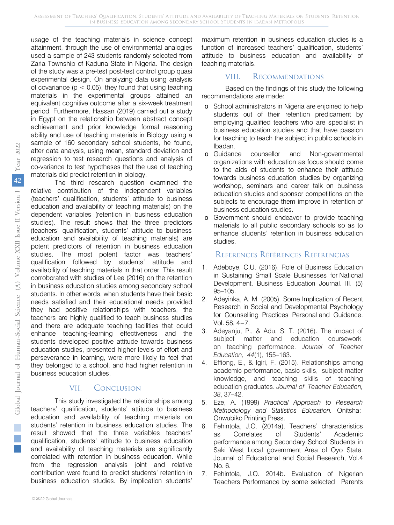usage of the teaching materials in science concept attainment, through the use of environmental analogies used a sample of 243 students randomly selected from Zaria Township of Kaduna State in Nigeria. The design of the study was a pre-test post-test control group quasi experimental design. On analyzing data using analysis of covariance ( $p < 0.05$ ), they found that using teaching materials in the experimental groups attained an equivalent cognitive outcome after a six-week treatment period. Furthermore, Hassan (2019) carried out a study in Egypt on the relationship between abstract concept achievement and prior knowledge formal reasoning ability and use of teaching materials in Biology using a sample of 160 secondary school students, he found, after data analysis, using mean, standard deviation and regression to test research questions and analysis of co-variance to test hypotheses that the use of teaching materials did predict retention in biology.

The third research question examined the relative contribution of the independent variables (teachers' qualification, students' attitude to business education and availability of teaching materials) on the dependent variables (retention in business education studies). The result shows that the three predictors (teachers' qualification, students' attitude to business education and availability of teaching materials) are potent predictors of retention in business education studies. The most potent factor was teachers' qualification followed by students' attitude and availability of teaching materials in that order. This result corroborated with studies of Lee (2016) on the retention in business education studies among secondary school students. In other words, when students have their basic needs satisfied and their educational needs provided they had positive relationships with teachers, the teachers are highly qualified to teach business studies and there are adequate teaching facilities that could enhance teaching-learning effectiveness and the students developed positive attitude towards business education studies, presented higher levels of effort and perseverance in learning, were more likely to feel that they belonged to a school, and had higher retention in business education studies.

# VII. Conclusion

This study investigated the relationships among teachers' qualification, students' attitude to business education and availability of teaching materials on students' retention in business education studies. The result showed that the three variables teachers' qualification, students' attitude to business education and availability of teaching materials are significantly correlated with retention in business education. While from the regression analysis joint and relative contribution were found to predict students' retention in business education studies. By implication students'

# VIII. Recommendations

Based on the findings of this study the following recommendations are made:

- o School administrators in Nigeria are enjoined to help students out of their retention predicament by employing qualified teachers who are specialist in business education studies and that have passion for teaching to teach the subject in public schools in Ibadan.
- o Guidance counsellor and Non-governmental organizations with education as focus should come to the aids of students to enhance their attitude towards business education studies by organizing workshop, seminars and career talk on business education studies and sponsor competitions on the subjects to encourage them improve in retention of business education studies.
- o Government should endeavor to provide teaching materials to all public secondary schools so as to enhance students' retention in business education studies.

# References Références Referencias

- 1. Adeboye, C.U. (2016). Role of Business Education in Sustaining Small Scale Businesses for National Development. Business Education Journal. III. (5) 95–105.
- 2. Adeyinka, A. M. (2005). Some Implication of Recent Research in Social and Developmental Psychology for Counselling Practices Personal and Guidance. Vol.  $58, 4 - 7$ .
- 3. Adeyanju, P., & Adu, S. T. (2016). The impact of subject matter and education coursework on teaching performance. *Journal of Teacher Education, 44*(1), 155–163.
- 4. Effiong, E., & Igiri, F. (2015). Relationships among academic performance, basic skills, subject-matter knowledge, and teaching skills of teaching education graduates. *Journal of Teacher Education, 38*, 37–42.
- 5. Eze, A. (1999) *Practical Approach to Research Methodology and Statistics Education.* Onitsha: Onwubiko Printing Press.
- 6. Fehintola, J.O. (2014a). Teachers' characteristics as Correlates of Students' Academic performance among Secondary School Students in Saki West Local government Area of Oyo State. Journal of Educational and Social Research, Vol.4 No. 6.
- 7. Fehintola, J.O. 2014b. Evaluation of Nigerian Teachers Performance by some selected Parents